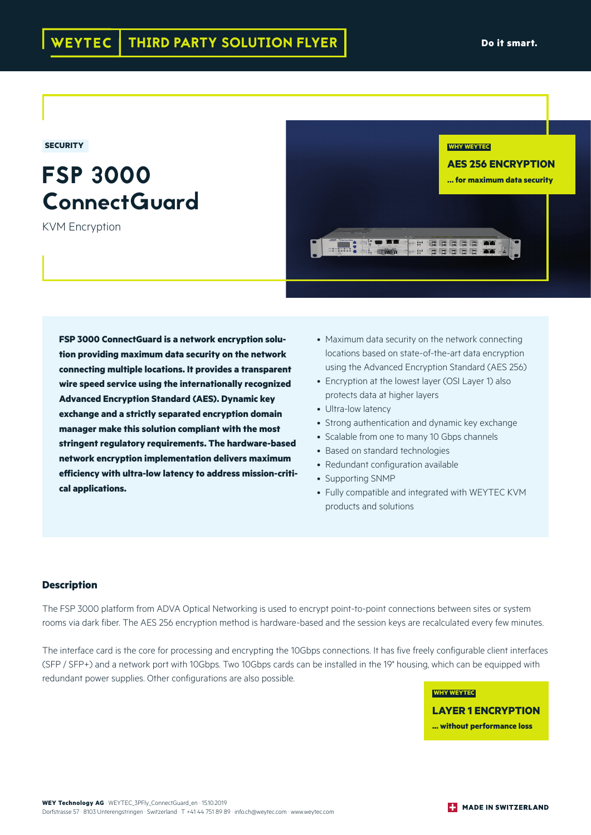**SECURITY**

# FSP 3000 ConnectGuard

KVM Encryption



**FSP 3000 ConnectGuard is a network encryption solution providing maximum data security on the network connecting multiple locations. It provides a transparent wire speed service using the internationally recognized Advanced Encryption Standard (AES). Dynamic key exchange and a strictly separated encryption domain manager make this solution compliant with the most stringent regulatory requirements. The hardware-based network encryption implementation delivers maximum efficiency with ultra-low latency to address mission-critical applications.**

- Maximum data security on the network connecting locations based on state-of-the-art data encryption using the Advanced Encryption Standard (AES 256)
- Encryption at the lowest layer (OSI Layer 1) also protects data at higher layers
- Ultra-low latency
- Strong authentication and dynamic key exchange
- Scalable from one to many 10 Gbps channels
- Based on standard technologies
- Redundant configuration available
- Supporting SNMP
- Fully compatible and integrated with WEYTEC KVM products and solutions

## **Description**

The FSP 3000 platform from ADVA Optical Networking is used to encrypt point-to-point connections between sites or system rooms via dark fiber. The AES 256 encryption method is hardware-based and the session keys are recalculated every few minutes.

The interface card is the core for processing and encrypting the 10Gbps connections. It has five freely configurable client interfaces (SFP / SFP+) and a network port with 10Gbps. Two 10Gbps cards can be installed in the 19" housing, which can be equipped with redundant power supplies. Other configurations are also possible.

> **WHY WEYTEC LAYER 1 ENCRYPTION ... without performance loss**